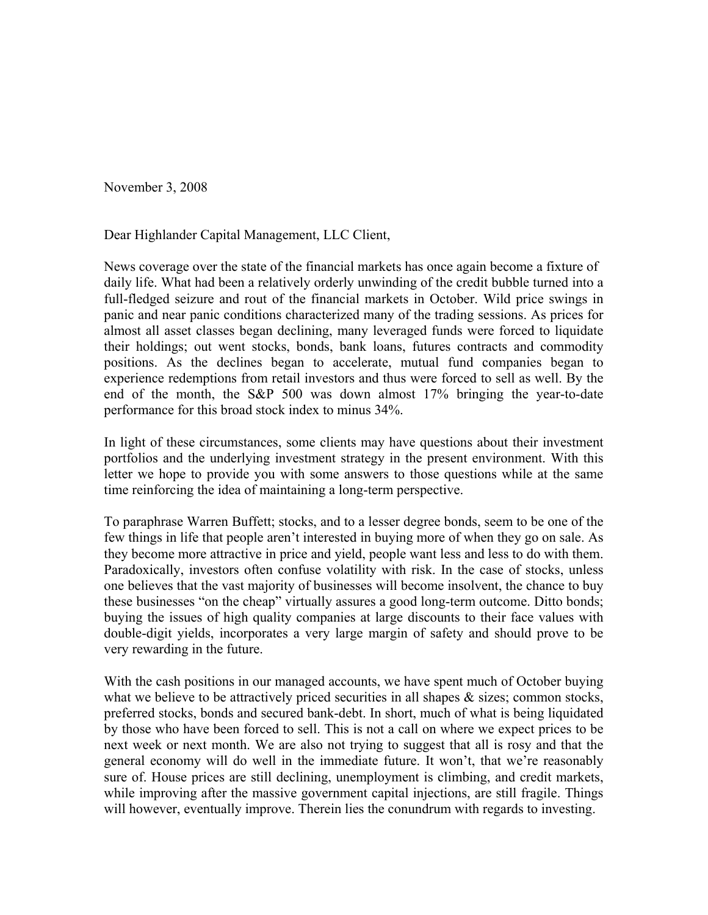November 3, 2008

Dear Highlander Capital Management, LLC Client,

News coverage over the state of the financial markets has once again become a fixture of daily life. What had been a relatively orderly unwinding of the credit bubble turned into a full-fledged seizure and rout of the financial markets in October. Wild price swings in panic and near panic conditions characterized many of the trading sessions. As prices for almost all asset classes began declining, many leveraged funds were forced to liquidate their holdings; out went stocks, bonds, bank loans, futures contracts and commodity positions. As the declines began to accelerate, mutual fund companies began to experience redemptions from retail investors and thus were forced to sell as well. By the end of the month, the S&P 500 was down almost 17% bringing the year-to-date performance for this broad stock index to minus 34%.

In light of these circumstances, some clients may have questions about their investment portfolios and the underlying investment strategy in the present environment. With this letter we hope to provide you with some answers to those questions while at the same time reinforcing the idea of maintaining a long-term perspective.

To paraphrase Warren Buffett; stocks, and to a lesser degree bonds, seem to be one of the few things in life that people aren't interested in buying more of when they go on sale. As they become more attractive in price and yield, people want less and less to do with them. Paradoxically, investors often confuse volatility with risk. In the case of stocks, unless one believes that the vast majority of businesses will become insolvent, the chance to buy these businesses "on the cheap" virtually assures a good long-term outcome. Ditto bonds; buying the issues of high quality companies at large discounts to their face values with double-digit yields, incorporates a very large margin of safety and should prove to be very rewarding in the future.

With the cash positions in our managed accounts, we have spent much of October buying what we believe to be attractively priced securities in all shapes  $\&$  sizes; common stocks, preferred stocks, bonds and secured bank-debt. In short, much of what is being liquidated by those who have been forced to sell. This is not a call on where we expect prices to be next week or next month. We are also not trying to suggest that all is rosy and that the general economy will do well in the immediate future. It won't, that we're reasonably sure of. House prices are still declining, unemployment is climbing, and credit markets, while improving after the massive government capital injections, are still fragile. Things will however, eventually improve. Therein lies the conundrum with regards to investing.